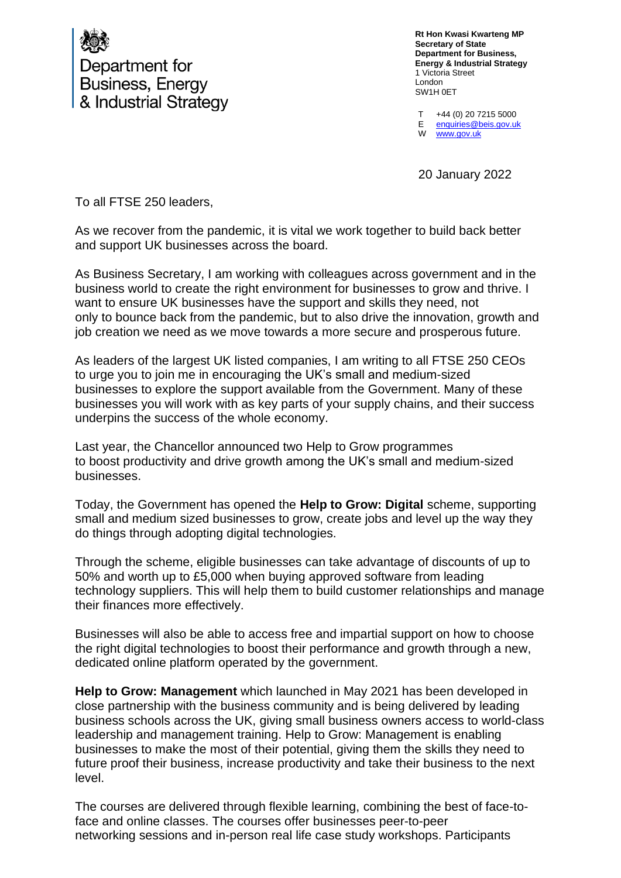

Department for **Business, Energy** & Industrial Strategy

**Rt Hon Kwasi Kwarteng MP Secretary of State Department for Business, Energy & Industrial Strategy** 1 Victoria Street London SW1H 0ET

T E W +44 (0) 20 7215 5000 [enquiries@beis.gov.uk](mailto:enquiries@beis.gov.uk)  [www.gov.uk](http://www.gov.uk/)

20 January 2022

To all FTSE 250 leaders,

As we recover from the pandemic, it is vital we work together to build back better and support UK businesses across the board.

As Business Secretary, I am working with colleagues across government and in the business world to create the right environment for businesses to grow and thrive. I want to ensure UK businesses have the support and skills they need, not only to bounce back from the pandemic, but to also drive the innovation, growth and job creation we need as we move towards a more secure and prosperous future.

As leaders of the largest UK listed companies, I am writing to all FTSE 250 CEOs to urge you to join me in encouraging the UK's small and medium-sized businesses to explore the support available from the Government. Many of these businesses you will work with as key parts of your supply chains, and their success underpins the success of the whole economy.

Last year, the Chancellor announced two Help to Grow programmes to boost productivity and drive growth among the UK's small and medium-sized businesses.

Today, the Government has opened the **Help to Grow: Digital** scheme, supporting small and medium sized businesses to grow, create jobs and level up the way they do things through adopting digital technologies.

Through the scheme, eligible businesses can take advantage of discounts of up to 50% and worth up to £5,000 when buying approved software from leading technology suppliers. This will help them to build customer relationships and manage their finances more effectively.

Businesses will also be able to access free and impartial support on how to choose the right digital technologies to boost their performance and growth through a new, dedicated online platform operated by the government.

**Help to Grow: Management** which launched in May 2021 has been developed in close partnership with the business community and is being delivered by leading business schools across the UK, giving small business owners access to world-class leadership and management training. Help to Grow: Management is enabling businesses to make the most of their potential, giving them the skills they need to future proof their business, increase productivity and take their business to the next level.

The courses are delivered through flexible learning, combining the best of face-toface and online classes. The courses offer businesses peer-to-peer networking sessions and in-person real life case study workshops. Participants